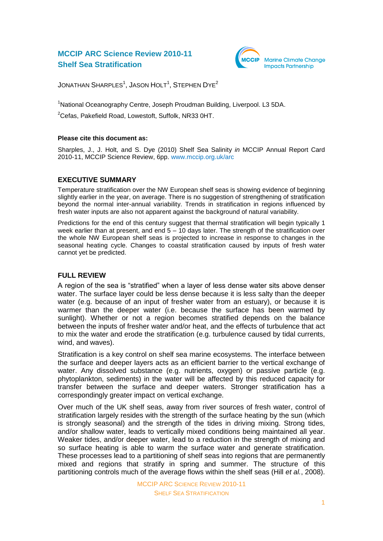# **MCCIP ARC Science Review 2010-11 Shelf Sea Stratification**



JONATHAN  $\textsf{SHARPLES}^1,$  JASON  $\textsf{HOLT}^1,$   $\textsf{STEPHEN DYE}^2$ 

<sup>1</sup>National Oceanography Centre, Joseph Proudman Building, Liverpool. L3 5DA.

<sup>2</sup>Cefas, Pakefield Road, Lowestoft, Suffolk, NR33 0HT.

#### **Please cite this document as:**

Sharples, J., J. Holt, and S. Dye (2010) Shelf Sea Salinity *in* MCCIP Annual Report Card 2010-11, MCCIP Science Review, 6pp. [www.mccip.org.uk/arc](http://www.mccip.org.uk/arc)

### **EXECUTIVE SUMMARY**

Temperature stratification over the NW European shelf seas is showing evidence of beginning slightly earlier in the year, on average. There is no suggestion of strengthening of stratification beyond the normal inter-annual variability. Trends in stratification in regions influenced by fresh water inputs are also not apparent against the background of natural variability.

Predictions for the end of this century suggest that thermal stratification will begin typically 1 week earlier than at present, and end 5 – 10 days later. The strength of the stratification over the whole NW European shelf seas is projected to increase in response to changes in the seasonal heating cycle. Changes to coastal stratification caused by inputs of fresh water cannot yet be predicted.

### **FULL REVIEW**

A region of the sea is "stratified" when a layer of less dense water sits above denser water. The surface layer could be less dense because it is less salty than the deeper water (e.g. because of an input of fresher water from an estuary), or because it is warmer than the deeper water (i.e. because the surface has been warmed by sunlight). Whether or not a region becomes stratified depends on the balance between the inputs of fresher water and/or heat, and the effects of turbulence that act to mix the water and erode the stratification (e.g. turbulence caused by tidal currents, wind, and waves).

Stratification is a key control on shelf sea marine ecosystems. The interface between the surface and deeper layers acts as an efficient barrier to the vertical exchange of water. Any dissolved substance (e.g. nutrients, oxygen) or passive particle (e.g. phytoplankton, sediments) in the water will be affected by this reduced capacity for transfer between the surface and deeper waters. Stronger stratification has a correspondingly greater impact on vertical exchange.

Over much of the UK shelf seas, away from river sources of fresh water, control of stratification largely resides with the strength of the surface heating by the sun (which is strongly seasonal) and the strength of the tides in driving mixing. Strong tides, and/or shallow water, leads to vertically mixed conditions being maintained all year. Weaker tides, and/or deeper water, lead to a reduction in the strength of mixing and so surface heating is able to warm the surface water and generate stratification. These processes lead to a partitioning of shelf seas into regions that are permanently mixed and regions that stratify in spring and summer. The structure of this partitioning controls much of the average flows within the shelf seas (Hill *et al.*, 2008).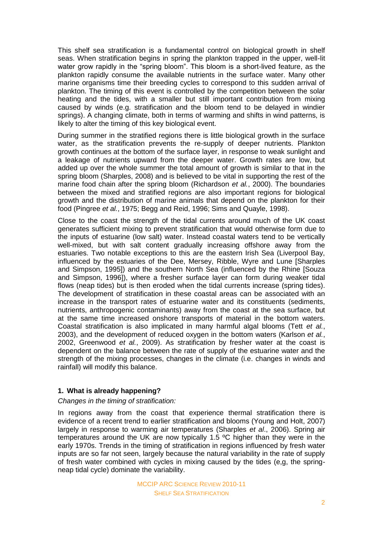This shelf sea stratification is a fundamental control on biological growth in shelf seas. When stratification begins in spring the plankton trapped in the upper, well-lit water grow rapidly in the "spring bloom". This bloom is a short-lived feature, as the plankton rapidly consume the available nutrients in the surface water. Many other marine organisms time their breeding cycles to correspond to this sudden arrival of plankton. The timing of this event is controlled by the competition between the solar heating and the tides, with a smaller but still important contribution from mixing caused by winds (e.g. stratification and the bloom tend to be delayed in windier springs). A changing climate, both in terms of warming and shifts in wind patterns, is likely to alter the timing of this key biological event.

During summer in the stratified regions there is little biological growth in the surface water, as the stratification prevents the re-supply of deeper nutrients. Plankton growth continues at the bottom of the surface layer, in response to weak sunlight and a leakage of nutrients upward from the deeper water. Growth rates are low, but added up over the whole summer the total amount of growth is similar to that in the spring bloom (Sharples, 2008) and is believed to be vital in supporting the rest of the marine food chain after the spring bloom (Richardson *et al.*, 2000). The boundaries between the mixed and stratified regions are also important regions for biological growth and the distribution of marine animals that depend on the plankton for their food (Pingree *et al.*, 1975; Begg and Reid, 1996; Sims and Quayle, 1998).

Close to the coast the strength of the tidal currents around much of the UK coast generates sufficient mixing to prevent stratification that would otherwise form due to the inputs of estuarine (low salt) water. Instead coastal waters tend to be vertically well-mixed, but with salt content gradually increasing offshore away from the estuaries. Two notable exceptions to this are the eastern Irish Sea (Liverpool Bay, influenced by the estuaries of the Dee, Mersey, Ribble, Wyre and Lune [Sharples and Simpson, 1995]) and the southern North Sea (influenced by the Rhine [Souza and Simpson, 1996]), where a fresher surface layer can form during weaker tidal flows (neap tides) but is then eroded when the tidal currents increase (spring tides). The development of stratification in these coastal areas can be associated with an increase in the transport rates of estuarine water and its constituents (sediments, nutrients, anthropogenic contaminants) away from the coast at the sea surface, but at the same time increased onshore transports of material in the bottom waters. Coastal stratification is also implicated in many harmful algal blooms (Tett *et al.*, 2003), and the development of reduced oxygen in the bottom waters (Karlson *et al.*, 2002, Greenwood *et al.*, 2009). As stratification by fresher water at the coast is dependent on the balance between the rate of supply of the estuarine water and the strength of the mixing processes, changes in the climate (i.e. changes in winds and rainfall) will modify this balance.

### **1. What is already happening?**

#### *Changes in the timing of stratification:*

In regions away from the coast that experience thermal stratification there is evidence of a recent trend to earlier stratification and blooms (Young and Holt, 2007) largely in response to warming air temperatures (Sharples *et al*., 2006). Spring air temperatures around the UK are now typically 1.5 ºC higher than they were in the early 1970s. Trends in the timing of stratification in regions influenced by fresh water inputs are so far not seen, largely because the natural variability in the rate of supply of fresh water combined with cycles in mixing caused by the tides (e,g, the springneap tidal cycle) dominate the variability.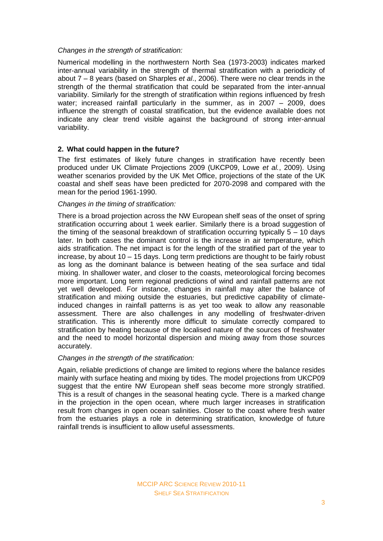#### *Changes in the strength of stratification:*

Numerical modelling in the northwestern North Sea (1973-2003) indicates marked inter-annual variability in the strength of thermal stratification with a periodicity of about 7 – 8 years (based on Sharples *et al*., 2006). There were no clear trends in the strength of the thermal stratification that could be separated from the inter-annual variability. Similarly for the strength of stratification within regions influenced by fresh water; increased rainfall particularly in the summer, as in 2007 – 2009, does influence the strength of coastal stratification, but the evidence available does not indicate any clear trend visible against the background of strong inter-annual variability.

### **2. What could happen in the future?**

The first estimates of likely future changes in stratification have recently been produced under UK Climate Projections 2009 (UKCP09, Lowe *et al.*, 2009). Using weather scenarios provided by the UK Met Office, projections of the state of the UK coastal and shelf seas have been predicted for 2070-2098 and compared with the mean for the period 1961-1990.

### *Changes in the timing of stratification:*

There is a broad projection across the NW European shelf seas of the onset of spring stratification occurring about 1 week earlier. Similarly there is a broad suggestion of the timing of the seasonal breakdown of stratification occurring typically  $5 - 10$  days later. In both cases the dominant control is the increase in air temperature, which aids stratification. The net impact is for the length of the stratified part of the year to increase, by about 10 – 15 days. Long term predictions are thought to be fairly robust as long as the dominant balance is between heating of the sea surface and tidal mixing. In shallower water, and closer to the coasts, meteorological forcing becomes more important. Long term regional predictions of wind and rainfall patterns are not yet well developed. For instance, changes in rainfall may alter the balance of stratification and mixing outside the estuaries, but predictive capability of climateinduced changes in rainfall patterns is as yet too weak to allow any reasonable assessment. There are also challenges in any modelling of freshwater-driven stratification. This is inherently more difficult to simulate correctly compared to stratification by heating because of the localised nature of the sources of freshwater and the need to model horizontal dispersion and mixing away from those sources accurately.

### *Changes in the strength of the stratification:*

Again, reliable predictions of change are limited to regions where the balance resides mainly with surface heating and mixing by tides. The model projections from UKCP09 suggest that the entire NW European shelf seas become more strongly stratified. This is a result of changes in the seasonal heating cycle. There is a marked change in the projection in the open ocean, where much larger increases in stratification result from changes in open ocean salinities. Closer to the coast where fresh water from the estuaries plays a role in determining stratification, knowledge of future rainfall trends is insufficient to allow useful assessments.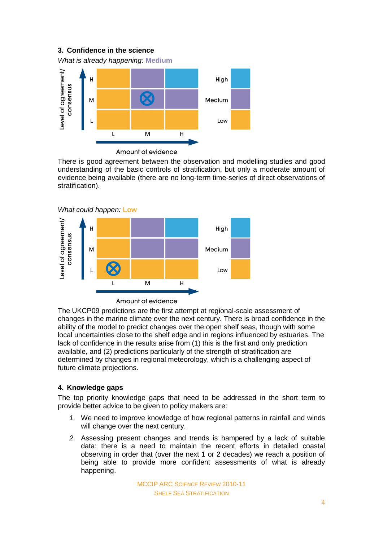## **3. Confidence in the science**

*What is already happening:* **Medium**



Amount of evidence

There is good agreement between the observation and modelling studies and good understanding of the basic controls of stratification, but only a moderate amount of evidence being available (there are no long-term time-series of direct observations of stratification).



The UKCP09 predictions are the first attempt at regional-scale assessment of changes in the marine climate over the next century. There is broad confidence in the ability of the model to predict changes over the open shelf seas, though with some local uncertainties close to the shelf edge and in regions influenced by estuaries. The lack of confidence in the results arise from (1) this is the first and only prediction

available, and (2) predictions particularly of the strength of stratification are determined by changes in regional meteorology, which is a challenging aspect of future climate projections.

## **4. Knowledge gaps**

The top priority knowledge gaps that need to be addressed in the short term to provide better advice to be given to policy makers are:

- *1.* We need to improve knowledge of how regional patterns in rainfall and winds will change over the next century.
- *2.* Assessing present changes and trends is hampered by a lack of suitable data: there is a need to maintain the recent efforts in detailed coastal observing in order that (over the next 1 or 2 decades) we reach a position of being able to provide more confident assessments of what is already happening.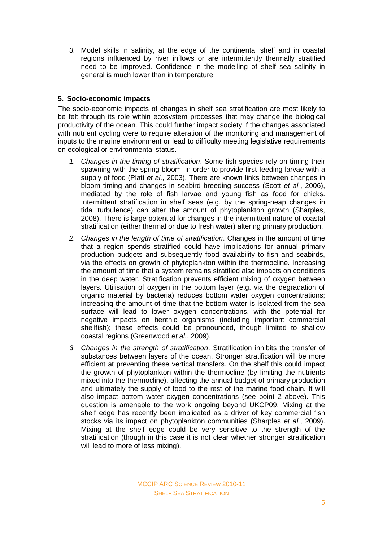*3.* Model skills in salinity, at the edge of the continental shelf and in coastal regions influenced by river inflows or are intermittently thermally stratified need to be improved. Confidence in the modelling of shelf sea salinity in general is much lower than in temperature

## **5. Socio-economic impacts**

The socio-economic impacts of changes in shelf sea stratification are most likely to be felt through its role within ecosystem processes that may change the biological productivity of the ocean. This could further impact society if the changes associated with nutrient cycling were to require alteration of the monitoring and management of inputs to the marine environment or lead to difficulty meeting legislative requirements on ecological or environmental status.

- *1. Changes in the timing of stratification*. Some fish species rely on timing their spawning with the spring bloom, in order to provide first-feeding larvae with a supply of food (Platt *et al.*, 2003). There are known links between changes in bloom timing and changes in seabird breeding success (Scott *et al.*, 2006), mediated by the role of fish larvae and young fish as food for chicks. Intermittent stratification in shelf seas (e.g. by the spring-neap changes in tidal turbulence) can alter the amount of phytoplankton growth (Sharples, 2008). There is large potential for changes in the intermittent nature of coastal stratification (either thermal or due to fresh water) altering primary production.
- *2. Changes in the length of time of stratification*. Changes in the amount of time that a region spends stratified could have implications for annual primary production budgets and subsequently food availability to fish and seabirds, via the effects on growth of phytoplankton within the thermocline. Increasing the amount of time that a system remains stratified also impacts on conditions in the deep water. Stratification prevents efficient mixing of oxygen between layers. Utilisation of oxygen in the bottom layer (e.g. via the degradation of organic material by bacteria) reduces bottom water oxygen concentrations; increasing the amount of time that the bottom water is isolated from the sea surface will lead to lower oxygen concentrations, with the potential for negative impacts on benthic organisms (including important commercial shellfish); these effects could be pronounced, though limited to shallow coastal regions (Greenwood *et al.*, 2009).
- *3. Changes in the strength of stratification*. Stratification inhibits the transfer of substances between layers of the ocean. Stronger stratification will be more efficient at preventing these vertical transfers. On the shelf this could impact the growth of phytoplankton within the thermocline (by limiting the nutrients mixed into the thermocline), affecting the annual budget of primary production and ultimately the supply of food to the rest of the marine food chain. It will also impact bottom water oxygen concentrations (see point 2 above). This question is amenable to the work ongoing beyond UKCP09. Mixing at the shelf edge has recently been implicated as a driver of key commercial fish stocks via its impact on phytoplankton communities (Sharples *et al.*, 2009). Mixing at the shelf edge could be very sensitive to the strength of the stratification (though in this case it is not clear whether stronger stratification will lead to more of less mixing).